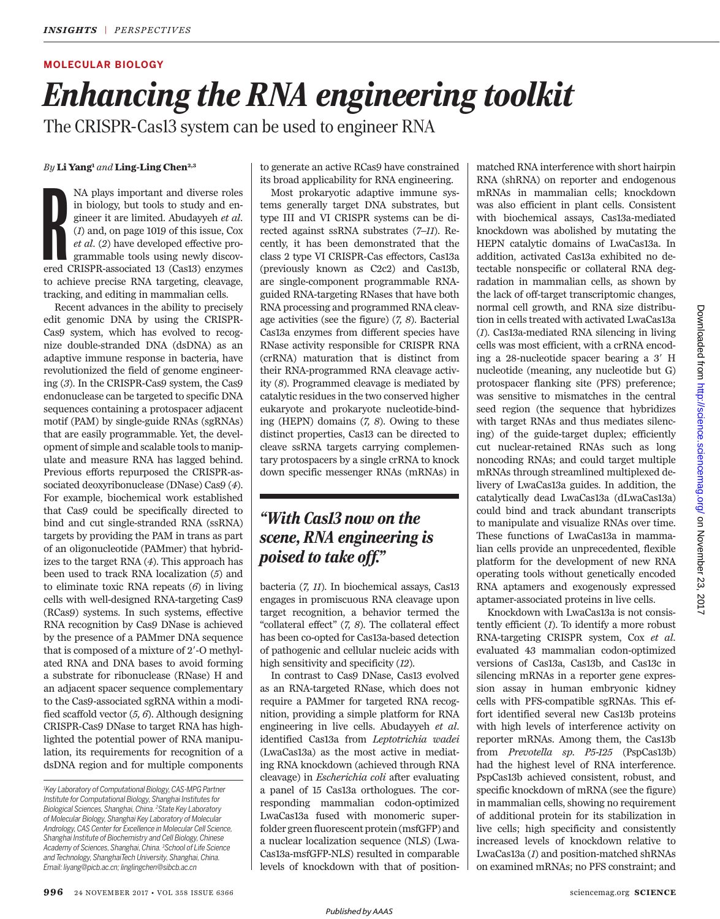## **MOLECULAR BIOLOGY**

# *Enhancing the RNA engineering toolkit*

The CRISPR-Cas13 system can be used to engineer RNA

### *By* **Li Yang<sup>1</sup>** *and* **Ling-Ling Chen2,3**

MA plays important and diverse roles<br>in biology, but tools to study and en-<br>gineer it are limited. Abudayyeh *et al.*<br>(*1*) and, on page 1019 of this issue, Cox<br>*et al.* (2) have developed effective pro-<br>grammable tools u NA plays important and diverse roles in biology, but tools to study and engineer it are limited. Abudayyeh *et al.* (*1*) and, on page 1019 of this issue, Cox *et al.* (*2*) have developed effective programmable tools using newly discovto achieve precise RNA targeting, cleavage, tracking, and editing in mammalian cells.

Recent advances in the ability to precisely edit genomic DNA by using the CRISPR-Cas9 system, which has evolved to recognize double-stranded DNA (dsDNA) as an adaptive immune response in bacteria, have revolutionized the field of genome engineering (*3*). In the CRISPR-Cas9 system, the Cas9 endonuclease can be targeted to specific DNA sequences containing a protospacer adjacent motif (PAM) by single-guide RNAs (sgRNAs) that are easily programmable. Yet, the development of simple and scalable tools to manipulate and measure RNA has lagged behind. Previous efforts repurposed the CRISPR-associated deoxyribonuclease (DNase) Cas9 (*4*). For example, biochemical work established that Cas9 could be specifically directed to bind and cut single-stranded RNA (ssRNA) targets by providing the PAM in trans as part of an oligonucleotide (PAMmer) that hybridizes to the target RNA (*4*). This approach has been used to track RNA localization (*5*) and to eliminate toxic RNA repeats (*6*) in living cells with well-designed RNA-targeting Cas9 (RCas9) systems. In such systems, effective RNA recognition by Cas9 DNase is achieved by the presence of a PAMmer DNA sequence that is composed of a mixture of  $2'$ -O methylated RNA and DNA bases to avoid forming a substrate for ribonuclease (RNase) H and an adjacent spacer sequence complementary to the Cas9-associated sgRNA within a modified scaffold vector (*5, 6*). Although designing CRISPR-Cas9 DNase to target RNA has highlighted the potential power of RNA manipulation, its requirements for recognition of a dsDNA region and for multiple components to generate an active RCas9 have constrained its broad applicability for RNA engineering.

Most prokaryotic adaptive immune systems generally target DNA substrates, but type III and VI CRISPR systems can be directed against ssRNA substrates (*7–11*). Recently, it has been demonstrated that the class 2 type VI CRISPR-Cas effectors, Cas13a (previously known as C2c2) and Cas13b, are single-component programmable RNAguided RNA-targeting RNases that have both RNA processing and programmed RNA cleavage activities (see the figure) (*7, 8*). Bacterial Cas13a enzymes from different species have RNase activity responsible for CRISPR RNA (crRNA) maturation that is distinct from their RNA-programmed RNA cleavage activity (*8*). Programmed cleavage is mediated by catalytic residues in the two conserved higher eukaryote and prokaryote nucleotide-binding (HEPN) domains (*7, 8*). Owing to these distinct properties, Cas13 can be directed to cleave ssRNA targets carrying complementary protospacers by a single crRNA to knock down specific messenger RNAs (mRNAs) in

# *"With Cas13 now on the scene, RNA engineering is poised to take off."*

bacteria (*7, 11*). In biochemical assays, Cas13 engages in promiscuous RNA cleavage upon target recognition, a behavior termed the "collateral effect" (*7, 8*). The collateral effect has been co-opted for Cas13a-based detection of pathogenic and cellular nucleic acids with high sensitivity and specificity (*12*).

In contrast to Cas9 DNase, Cas13 evolved as an RNA-targeted RNase, which does not require a PAMmer for targeted RNA recognition, providing a simple platform for RNA engineering in live cells. Abudayyeh *et al.* identified Cas13a from *Leptotrichia wadei* (LwaCas13a) as the most active in mediating RNA knockdown (achieved through RNA cleavage) in *Escherichia coli* after evaluating a panel of 15 Cas13a orthologues. The corresponding mammalian codon-optimized LwaCas13a fused with monomeric superfolder green fluorescent protein (msfGFP) and a nuclear localization sequence (NLS) (Lwa-Cas13a-msfGFP-NLS) resulted in comparable levels of knockdown with that of position-

matched RNA interference with short hairpin RNA (shRNA) on reporter and endogenous mRNAs in mammalian cells; knockdown was also efficient in plant cells. Consistent with biochemical assays, Cas13a-mediated knockdown was abolished by mutating the HEPN catalytic domains of LwaCas13a. In addition, activated Cas13a exhibited no detectable nonspecific or collateral RNA degradation in mammalian cells, as shown by the lack of off-target transcriptomic changes, normal cell growth, and RNA size distribution in cells treated with activated LwaCas13a (*1*). Cas13a-mediated RNA silencing in living cells was most efficient, with a crRNA encoding a  $28$ -nucleotide spacer bearing a  $3'$  H nucleotide (meaning, any nucleotide but G) protospacer flanking site (PFS) preference; was sensitive to mismatches in the central seed region (the sequence that hybridizes with target RNAs and thus mediates silencing) of the guide-target duplex; efficiently cut nuclear-retained RNAs such as long noncoding RNAs; and could target multiple mRNAs through streamlined multiplexed delivery of LwaCas13a guides. In addition, the catalytically dead LwaCas13a (dLwaCas13a) could bind and track abundant transcripts to manipulate and visualize RNAs over time. These functions of LwaCas13a in mammalian cells provide an unprecedented, flexible platform for the development of new RNA operating tools without genetically encoded RNA aptamers and exogenously expressed aptamer-associated proteins in live cells.

Knockdown with LwaCas13a is not consistently efficient (*1*). To identify a more robust RNA-targeting CRISPR system, Cox *et al.* evaluated 43 mammalian codon-optimized versions of Cas13a, Cas13b, and Cas13c in silencing mRNAs in a reporter gene expression assay in human embryonic kidney cells with PFS-compatible sgRNAs. This effort identified several new Cas13b proteins with high levels of interference activity on reporter mRNAs. Among them, the Cas13b from *Prevotella sp. P5-125* (PspCas13b) had the highest level of RNA interference. PspCas13b achieved consistent, robust, and specific knockdown of mRNA (see the figure) in mammalian cells, showing no requirement of additional protein for its stabilization in live cells; high specificity and consistently increased levels of knockdown relative to LwaCas13a (*1*) and position-matched shRNAs on examined mRNAs; no PFS constraint; and

*<sup>1</sup>Key Laboratory of Computational Biology,CAS-MPG Partner Institute for Computational Biology, Shanghai Institutes for Biological Sciences, Shanghai, China. <sup>2</sup>State Key Laboratory of Molecular Biology, Shanghai Key Laboratory of Molecular Andrology, CAS Center for Excellence in Molecular Cell Science, Shanghai Institute of Biochemistry and Cell Biology, Chinese Academy of Sciences, Shanghai,China. <sup>3</sup>School of Life Science and Technology, ShanghaiTech University, Shanghai, China. Email: liyang@picb.ac.cn; linglingchen@sibcb.ac.cn*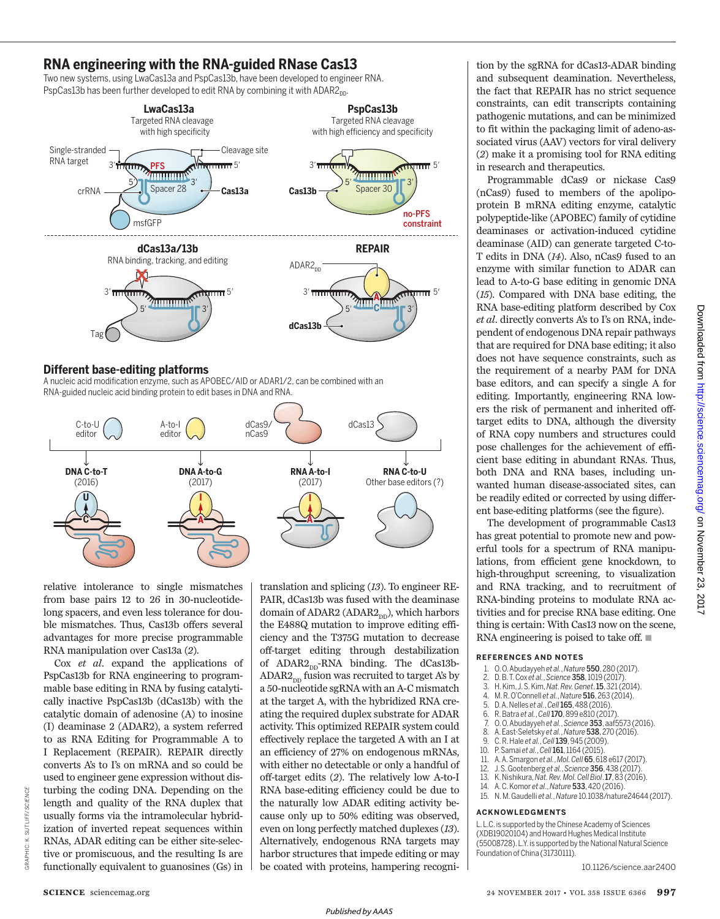## **RNA engineering with the RNA-guided RNase Cas13**

Two new systems, using LwaCas13a and PspCas13b, have been developed to engineer RNA. PspCas13b has been further developed to edit RNA by combining it with ADAR2<sub>DD</sub>.



## **Diferent base-editing platforms**

A nucleic acid modification enzyme, such as APOBEC/AID or ADAR1/2, can be combined with an RNA-guided nucleic acid binding protein to edit bases in DNA and RNA.



relative intolerance to single mismatches from base pairs 12 to 26 in 30-nucleotidelong spacers, and even less tolerance for double mismatches. Thus, Cas13b offers several advantages for more precise programmable RNA manipulation over Cas13a (*2*).

Cox *et al.* expand the applications of PspCas13b for RNA engineering to programmable base editing in RNA by fusing catalytically inactive PspCas13b (dCas13b) with the catalytic domain of adenosine (A) to inosine (I) deaminase 2 (ADAR2), a system referred to as RNA Editing for Programmable A to I Replacement (REPAIR). REPAIR directly converts A's to I's on mRNA and so could be used to engineer gene expression without disturbing the coding DNA. Depending on the length and quality of the RNA duplex that usually forms via the intramolecular hybridization of inverted repeat sequences within RNAs, ADAR editing can be either site-selective or promiscuous, and the resulting Is are functionally equivalent to guanosines (Gs) in translation and splicing (*13*). To engineer RE-PAIR, dCas13b was fused with the deaminase domain of ADAR2 (ADAR2 $_{\text{DD}}$ ), which harbors the E488Q mutation to improve editing efficiency and the T375G mutation to decrease off-target editing through destabilization of  $ADAR2<sub>nn</sub>$ -RNA binding. The dCas13b- $ADAR2<sub>nn</sub>$  fusion was recruited to target A's by a 50-nucleotide sgRNA with an A-C mismatch at the target A, with the hybridized RNA creating the required duplex substrate for ADAR activity. This optimized REPAIR system could effectively replace the targeted A with an I at an efficiency of 27% on endogenous mRNAs, with either no detectable or only a handful of off-target edits (*2*). The relatively low A-to-I RNA base-editing efficiency could be due to the naturally low ADAR editing activity because only up to 50% editing was observed, even on long perfectly matched duplexes (*13*). Alternatively, endogenous RNA targets may harbor structures that impede editing or may be coated with proteins, hampering recogni-

tion by the sgRNA for dCas13-ADAR binding and subsequent deamination. Nevertheless, the fact that REPAIR has no strict sequence constraints, can edit transcripts containing pathogenic mutations, and can be minimized to fit within the packaging limit of adeno-associated virus (AAV) vectors for viral delivery (*2*) make it a promising tool for RNA editing in research and therapeutics.

Programmable dCas9 or nickase Cas9 (nCas9) fused to members of the apolipoprotein B mRNA editing enzyme, catalytic polypeptide-like (APOBEC) family of cytidine deaminases or activation-induced cytidine deaminase (AID) can generate targeted C-to-T edits in DNA (*14*). Also, nCas9 fused to an enzyme with similar function to ADAR can lead to A-to-G base editing in genomic DNA (*15*). Compared with DNA base editing, the RNA base-editing platform described by Cox *et al.* directly converts A's to I's on RNA, independent of endogenous DNA repair pathways that are required for DNA base editing; it also does not have sequence constraints, such as the requirement of a nearby PAM for DNA base editors, and can specify a single A for editing. Importantly, engineering RNA lowers the risk of permanent and inherited offtarget edits to DNA, although the diversity of RNA copy numbers and structures could pose challenges for the achievement of efficient base editing in abundant RNAs. Thus, both DNA and RNA bases, including unwanted human disease-associated sites, can be readily edited or corrected by using different base-editing platforms (see the figure).

The development of programmable Cas13 has great potential to promote new and powerful tools for a spectrum of RNA manipulations, from efficient gene knockdown, to high-throughput screening, to visualization and RNA tracking, and to recruitment of RNA-binding proteins to modulate RNA activities and for precise RNA base editing. One thing is certain: With Cas13 now on the scene, RNA engineering is poised to take off.  $\blacksquare$ 

#### **REFERENCES AND NOTES**

- 1. O.O. Abudayyeh *et al.*, *Nature* 550, 280 (2017).
- 2. D. B. T. Cox *et al.*, *Science* 358, 1019 (2017).
- 3. H. Kim, J. S. Kim,*Nat. Rev.Genet*. 15, 321 (2014).
- 4. M. R. O'Connell *et al.*, *Nature* 516, 263 (2014).
- 5. D. A. Nelles *et al.*, *Cell* **165**, 488 (2016).<br>6. R. Batra *et al.*, *Cell* **170**, 899 e810 (201)
- 6. R. Batra *et al.*, *Cell*170,899 e810 (2017).
- 7. O.O. Abudayyeh *et al.*, *Science* 353, aaf5573 (2016).
- 8. A. East-Seletsky *et al.*, *Nature* 538, 270 (2016). 9. C. R. Hale *et al.*, *Cell*139, 945 (2009).
- 
- 10. P. Samai *et al.*, *Cell*161,1164 (2015). 11. A. A.Smargon *et al.*, *Mol. Cell* 65, 618 e617 (2017).
- 12. J. S.Gootenberg *et al.*, *Science* 356, 438 (2017).
- 13. K. Nishikura,*Nat. Rev. Mol.Cell Biol*. 17, 83 (2016).
- 14. A. C. Komor *et al*., *Nature* 533, 420 (2016). 15. N. M. Gaudelli *et al.*, *Nature* 10.1038/nature24644 (2017).

#### **ACKNOWLEDGMENTS**

L. L.C. is supported by the Chinese Academy of Sciences (XDB19020104) and Howard Hughes Medical Institute (55008728). L.Y. is supported by the National Natural Science Foundation of China (31730111).

10.1126/science.aar2400